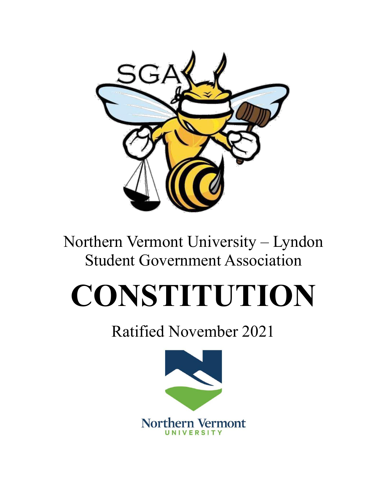

# Northern Vermont University – Lyndon Student Government Association

# **CONSTITUTION**

# Ratified November 2021

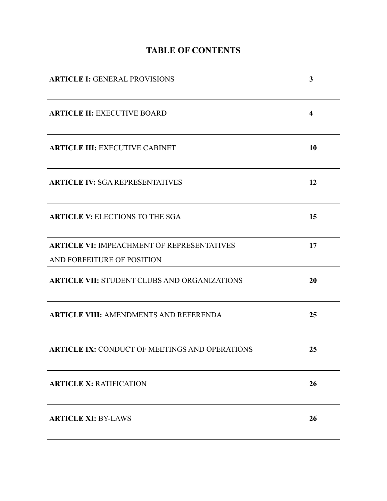# **TABLE OF CONTENTS**

| <b>ARTICLE I: GENERAL PROVISIONS</b>                  | 3                       |
|-------------------------------------------------------|-------------------------|
| <b>ARTICLE II: EXECUTIVE BOARD</b>                    | $\overline{\mathbf{4}}$ |
| <b>ARTICLE III: EXECUTIVE CABINET</b>                 | 10                      |
| <b>ARTICLE IV: SGA REPRESENTATIVES</b>                | 12                      |
| <b>ARTICLE V: ELECTIONS TO THE SGA</b>                | 15                      |
| <b>ARTICLE VI: IMPEACHMENT OF REPRESENTATIVES</b>     | 17                      |
| AND FORFEITURE OF POSITION                            |                         |
| <b>ARTICLE VII: STUDENT CLUBS AND ORGANIZATIONS</b>   | 20                      |
| <b>ARTICLE VIII: AMENDMENTS AND REFERENDA</b>         | 25                      |
| <b>ARTICLE IX: CONDUCT OF MEETINGS AND OPERATIONS</b> | 25                      |
| <b>ARTICLE X: RATIFICATION</b>                        | 26                      |
| <b>ARTICLE XI: BY-LAWS</b>                            | 26                      |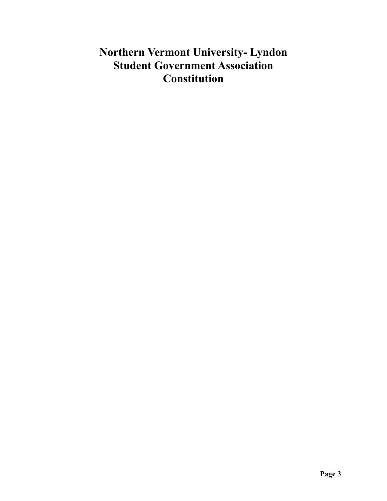# **Northern Vermont University- Lyndon Student Government Association Constitution**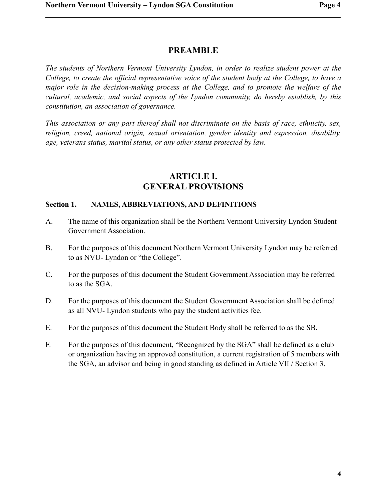# **PREAMBLE**

*The students of Northern Vermont University Lyndon, in order to realize student power at the College, to create the official representative voice of the student body at the College, to have a major role in the decision-making process at the College, and to promote the welfare of the cultural, academic, and social aspects of the Lyndon community, do hereby establish, by this constitution, an association of governance.* 

*This association or any part thereof shall not discriminate on the basis of race, ethnicity, sex, religion, creed, national origin, sexual orientation, gender identity and expression, disability, age, veterans status, marital status, or any other status protected by law.* 

# **ARTICLE I. GENERAL PROVISIONS**

#### **Section 1. NAMES, ABBREVIATIONS, AND DEFINITIONS**

- A. The name of this organization shall be the Northern Vermont University Lyndon Student Government Association.
- B. For the purposes of this document Northern Vermont University Lyndon may be referred to as NVU- Lyndon or "the College".
- C. For the purposes of this document the Student Government Association may be referred to as the SGA.
- D. For the purposes of this document the Student Government Association shall be defined as all NVU- Lyndon students who pay the student activities fee.
- E. For the purposes of this document the Student Body shall be referred to as the SB.
- F. For the purposes of this document, "Recognized by the SGA" shall be defined as a club or organization having an approved constitution, a current registration of 5 members with the SGA, an advisor and being in good standing as defined in Article VII / Section 3.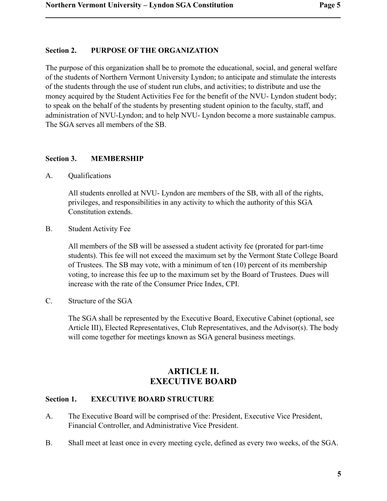### **Section 2. PURPOSE OF THE ORGANIZATION**

The purpose of this organization shall be to promote the educational, social, and general welfare of the students of Northern Vermont University Lyndon; to anticipate and stimulate the interests of the students through the use of student run clubs, and activities; to distribute and use the money acquired by the Student Activities Fee for the benefit of the NVU- Lyndon student body; to speak on the behalf of the students by presenting student opinion to the faculty, staff, and administration of NVU-Lyndon; and to help NVU- Lyndon become a more sustainable campus. The SGA serves all members of the SB.

#### **Section 3. MEMBERSHIP**

A. Qualifications

All students enrolled at NVU- Lyndon are members of the SB, with all of the rights, privileges, and responsibilities in any activity to which the authority of this SGA Constitution extends.

B. Student Activity Fee

All members of the SB will be assessed a student activity fee (prorated for part-time students). This fee will not exceed the maximum set by the Vermont State College Board of Trustees. The SB may vote, with a minimum of ten (10) percent of its membership voting, to increase this fee up to the maximum set by the Board of Trustees. Dues will increase with the rate of the Consumer Price Index, CPI.

C. Structure of the SGA

The SGA shall be represented by the Executive Board, Executive Cabinet (optional, see Article III), Elected Representatives, Club Representatives, and the Advisor(s). The body will come together for meetings known as SGA general business meetings.

# **ARTICLE II. EXECUTIVE BOARD**

#### **Section 1. EXECUTIVE BOARD STRUCTURE**

- A. The Executive Board will be comprised of the: President, Executive Vice President, Financial Controller, and Administrative Vice President.
- B. Shall meet at least once in every meeting cycle, defined as every two weeks, of the SGA.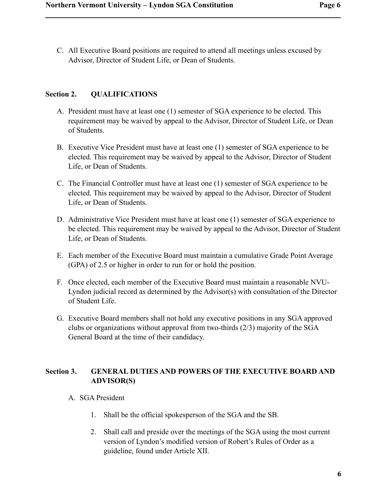C. All Executive Board positions are required to attend all meetings unless excused by Advisor, Director of Student Life, or Dean of Students.

# **Section 2. QUALIFICATIONS**

- A. President must have at least one (1) semester of SGA experience to be elected. This requirement may be waived by appeal to the Advisor, Director of Student Life, or Dean of Students.
- B. Executive Vice President must have at least one (1) semester of SGA experience to be elected. This requirement may be waived by appeal to the Advisor, Director of Student Life, or Dean of Students.
- C. The Financial Controller must have at least one (1) semester of SGA experience to be elected. This requirement may be waived by appeal to the Advisor, Director of Student Life, or Dean of Students.
- D. Administrative Vice President must have at least one (1) semester of SGA experience to be elected. This requirement may be waived by appeal to the Advisor, Director of Student Life, or Dean of Students.
- E. Each member of the Executive Board must maintain a cumulative Grade Point Average (GPA) of 2.5 or higher in order to run for or hold the position.
- F. Once elected, each member of the Executive Board must maintain a reasonable NVU-Lyndon judicial record as determined by the Advisor(s) with consultation of the Director of Student Life.
- G. Executive Board members shall not hold any executive positions in any SGA approved clubs or organizations without approval from two-thirds (2/3) majority of the SGA General Board at the time of their candidacy.

# **Section 3. GENERAL DUTIES AND POWERS OF THE EXECUTIVE BOARD AND ADVISOR(S)**

- A. SGA President
	- 1. Shall be the official spokesperson of the SGA and the SB.
	- 2. Shall call and preside over the meetings of the SGA using the most current version of Lyndon's modified version of Robert's Rules of Order as a guideline, found under Article XII.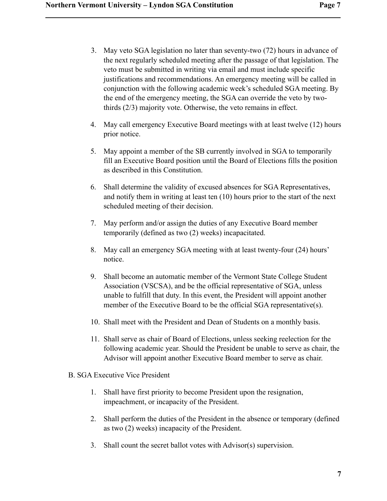- 3. May veto SGA legislation no later than seventy-two (72) hours in advance of the next regularly scheduled meeting after the passage of that legislation. The veto must be submitted in writing via email and must include specific justifications and recommendations. An emergency meeting will be called in conjunction with the following academic week's scheduled SGA meeting. By the end of the emergency meeting, the SGA can override the veto by twothirds (2/3) majority vote. Otherwise, the veto remains in effect.
- 4. May call emergency Executive Board meetings with at least twelve (12) hours prior notice.
- 5. May appoint a member of the SB currently involved in SGA to temporarily fill an Executive Board position until the Board of Elections fills the position as described in this Constitution.
- 6. Shall determine the validity of excused absences for SGA Representatives, and notify them in writing at least ten (10) hours prior to the start of the next scheduled meeting of their decision.
- 7. May perform and/or assign the duties of any Executive Board member temporarily (defined as two (2) weeks) incapacitated.
- 8. May call an emergency SGA meeting with at least twenty-four (24) hours' notice.
- 9. Shall become an automatic member of the Vermont State College Student Association (VSCSA), and be the official representative of SGA, unless unable to fulfill that duty. In this event, the President will appoint another member of the Executive Board to be the official SGA representative(s).
- 10. Shall meet with the President and Dean of Students on a monthly basis.
- 11. Shall serve as chair of Board of Elections, unless seeking reelection for the following academic year. Should the President be unable to serve as chair, the Advisor will appoint another Executive Board member to serve as chair.
- B. SGA Executive Vice President
	- 1. Shall have first priority to become President upon the resignation, impeachment, or incapacity of the President.
	- 2. Shall perform the duties of the President in the absence or temporary (defined as two (2) weeks) incapacity of the President.
	- 3. Shall count the secret ballot votes with Advisor(s) supervision.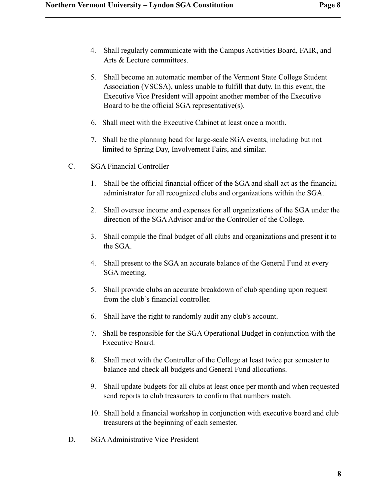- 4. Shall regularly communicate with the Campus Activities Board, FAIR, and Arts & Lecture committees.
- 5. Shall become an automatic member of the Vermont State College Student Association (VSCSA), unless unable to fulfill that duty. In this event, the Executive Vice President will appoint another member of the Executive Board to be the official SGA representative(s).
- 6. Shall meet with the Executive Cabinet at least once a month.
- 7. Shall be the planning head for large-scale SGA events, including but not limited to Spring Day, Involvement Fairs, and similar.
- C. SGA Financial Controller
	- 1. Shall be the official financial officer of the SGA and shall act as the financial administrator for all recognized clubs and organizations within the SGA.
	- 2. Shall oversee income and expenses for all organizations of the SGA under the direction of the SGA Advisor and/or the Controller of the College.
	- 3. Shall compile the final budget of all clubs and organizations and present it to the SGA.
	- 4. Shall present to the SGA an accurate balance of the General Fund at every SGA meeting.
	- 5. Shall provide clubs an accurate breakdown of club spending upon request from the club's financial controller.
	- 6. Shall have the right to randomly audit any club's account.
	- 7. Shall be responsible for the SGA Operational Budget in conjunction with the Executive Board.
	- 8. Shall meet with the Controller of the College at least twice per semester to balance and check all budgets and General Fund allocations.
	- 9. Shall update budgets for all clubs at least once per month and when requested send reports to club treasurers to confirm that numbers match.
	- 10. Shall hold a financial workshop in conjunction with executive board and club treasurers at the beginning of each semester.
- D. SGA Administrative Vice President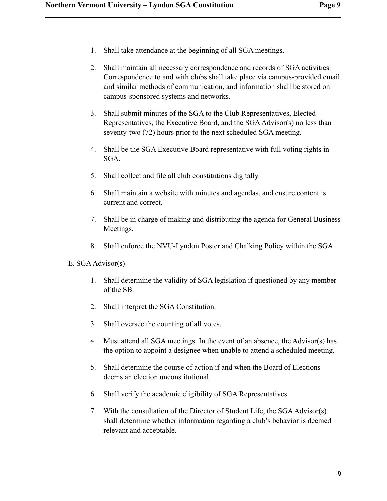- 1. Shall take attendance at the beginning of all SGA meetings.
- 2. Shall maintain all necessary correspondence and records of SGA activities. Correspondence to and with clubs shall take place via campus-provided email and similar methods of communication, and information shall be stored on campus-sponsored systems and networks.
- 3. Shall submit minutes of the SGA to the Club Representatives, Elected Representatives, the Executive Board, and the SGA Advisor(s) no less than seventy-two (72) hours prior to the next scheduled SGA meeting.
- 4. Shall be the SGA Executive Board representative with full voting rights in SGA.
- 5. Shall collect and file all club constitutions digitally.
- 6. Shall maintain a website with minutes and agendas, and ensure content is current and correct.
- 7. Shall be in charge of making and distributing the agenda for General Business Meetings.
- 8. Shall enforce the NVU-Lyndon Poster and Chalking Policy within the SGA.
- E. SGA Advisor(s)
	- 1. Shall determine the validity of SGA legislation if questioned by any member of the SB.
	- 2. Shall interpret the SGA Constitution.
	- 3. Shall oversee the counting of all votes.
	- 4. Must attend all SGA meetings. In the event of an absence, the Advisor(s) has the option to appoint a designee when unable to attend a scheduled meeting.
	- 5. Shall determine the course of action if and when the Board of Elections deems an election unconstitutional.
	- 6. Shall verify the academic eligibility of SGA Representatives.
	- 7. With the consultation of the Director of Student Life, the SGA Advisor(s) shall determine whether information regarding a club's behavior is deemed relevant and acceptable.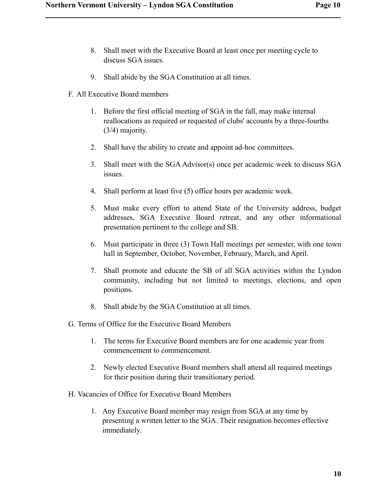- 8. Shall meet with the Executive Board at least once per meeting cycle to discuss SGA issues.
- 9. Shall abide by the SGA Constitution at all times.
- F. All Executive Board members

- 1. Before the first official meeting of SGA in the fall, may make internal reallocations as required or requested of clubs' accounts by a three-fourths (3/4) majority.
- 2. Shall have the ability to create and appoint ad-hoc committees.
- 3. Shall meet with the SGA Advisor(s) once per academic week to discuss SGA issues.
- 4. Shall perform at least five (5) office hours per academic week.
- 5. Must make every effort to attend State of the University address, budget addresses, SGA Executive Board retreat, and any other informational presentation pertinent to the college and SB.
- 6. Must participate in three (3) Town Hall meetings per semester, with one town hall in September, October, November, February, March, and April.
- 7. Shall promote and educate the SB of all SGA activities within the Lyndon community, including but not limited to meetings, elections, and open positions.
- 8. Shall abide by the SGA Constitution at all times.
- G. Terms of Office for the Executive Board Members
	- 1. The terms for Executive Board members are for one academic year from commencement to commencement.
	- 2. Newly elected Executive Board members shall attend all required meetings for their position during their transitionary period.
- H. Vacancies of Office for Executive Board Members
	- 1. Any Executive Board member may resign from SGA at any time by presenting a written letter to the SGA. Their resignation becomes effective immediately.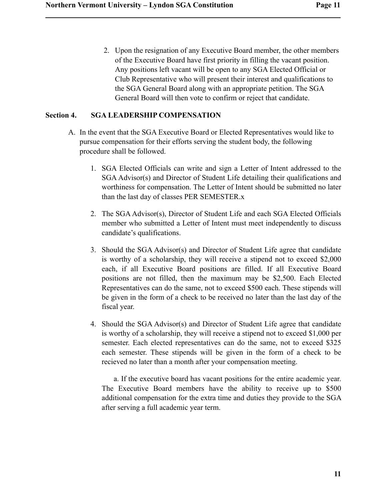2. Upon the resignation of any Executive Board member, the other members of the Executive Board have first priority in filling the vacant position. Any positions left vacant will be open to any SGA Elected Official or Club Representative who will present their interest and qualifications to the SGA General Board along with an appropriate petition. The SGA General Board will then vote to confirm or reject that candidate.

# **Section 4. SGA LEADERSHIP COMPENSATION**

- A. In the event that the SGA Executive Board or Elected Representatives would like to pursue compensation for their efforts serving the student body, the following procedure shall be followed.
	- 1. SGA Elected Officials can write and sign a Letter of Intent addressed to the SGA Advisor(s) and Director of Student Life detailing their qualifications and worthiness for compensation. The Letter of Intent should be submitted no later than the last day of classes PER SEMESTER.x
	- 2. The SGA Advisor(s), Director of Student Life and each SGA Elected Officials member who submitted a Letter of Intent must meet independently to discuss candidate's qualifications.
	- 3. Should the SGA Advisor(s) and Director of Student Life agree that candidate is worthy of a scholarship, they will receive a stipend not to exceed \$2,000 each, if all Executive Board positions are filled. If all Executive Board positions are not filled, then the maximum may be \$2,500. Each Elected Representatives can do the same, not to exceed \$500 each. These stipends will be given in the form of a check to be received no later than the last day of the fiscal year.
	- 4. Should the SGA Advisor(s) and Director of Student Life agree that candidate is worthy of a scholarship, they will receive a stipend not to exceed \$1,000 per semester. Each elected representatives can do the same, not to exceed \$325 each semester. These stipends will be given in the form of a check to be recieved no later than a month after your compensation meeting.

 a. If the executive board has vacant positions for the entire academic year. The Executive Board members have the ability to receive up to \$500 additional compensation for the extra time and duties they provide to the SGA after serving a full academic year term.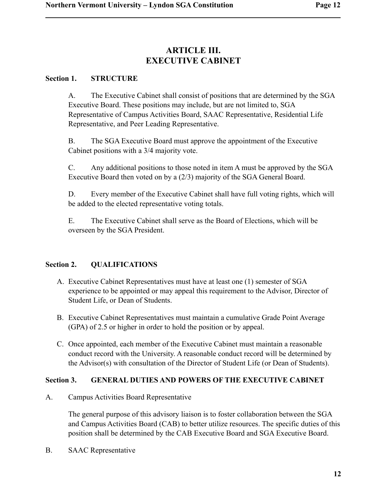# **ARTICLE III. EXECUTIVE CABINET**

### **Section 1. STRUCTURE**

A. The Executive Cabinet shall consist of positions that are determined by the SGA Executive Board. These positions may include, but are not limited to, SGA Representative of Campus Activities Board, SAAC Representative, Residential Life Representative, and Peer Leading Representative.

B. The SGA Executive Board must approve the appointment of the Executive Cabinet positions with a 3/4 majority vote.

C. Any additional positions to those noted in item A must be approved by the SGA Executive Board then voted on by a (2/3) majority of the SGA General Board.

D. Every member of the Executive Cabinet shall have full voting rights, which will be added to the elected representative voting totals.

E. The Executive Cabinet shall serve as the Board of Elections, which will be overseen by the SGA President.

# **Section 2. QUALIFICATIONS**

- A. Executive Cabinet Representatives must have at least one (1) semester of SGA experience to be appointed or may appeal this requirement to the Advisor, Director of Student Life, or Dean of Students.
- B. Executive Cabinet Representatives must maintain a cumulative Grade Point Average (GPA) of 2.5 or higher in order to hold the position or by appeal.
- C. Once appointed, each member of the Executive Cabinet must maintain a reasonable conduct record with the University. A reasonable conduct record will be determined by the Advisor(s) with consultation of the Director of Student Life (or Dean of Students).

# **Section 3. GENERAL DUTIES AND POWERS OF THE EXECUTIVE CABINET**

A. Campus Activities Board Representative

The general purpose of this advisory liaison is to foster collaboration between the SGA and Campus Activities Board (CAB) to better utilize resources. The specific duties of this position shall be determined by the CAB Executive Board and SGA Executive Board.

B. SAAC Representative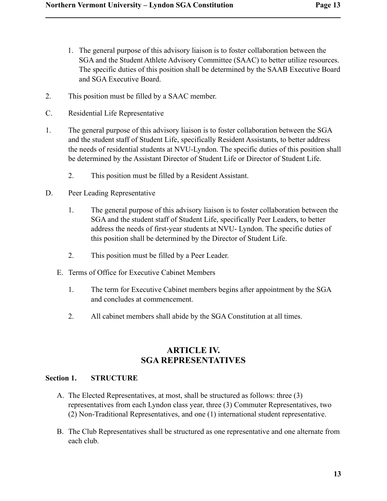- 1. The general purpose of this advisory liaison is to foster collaboration between the SGA and the Student Athlete Advisory Committee (SAAC) to better utilize resources. The specific duties of this position shall be determined by the SAAB Executive Board and SGA Executive Board.
- 2. This position must be filled by a SAAC member.
- C. Residential Life Representative

- 1. The general purpose of this advisory liaison is to foster collaboration between the SGA and the student staff of Student Life, specifically Resident Assistants, to better address the needs of residential students at NVU-Lyndon. The specific duties of this position shall be determined by the Assistant Director of Student Life or Director of Student Life.
	- 2. This position must be filled by a Resident Assistant.
- D. Peer Leading Representative
	- 1. The general purpose of this advisory liaison is to foster collaboration between the SGA and the student staff of Student Life, specifically Peer Leaders, to better address the needs of first-year students at NVU- Lyndon. The specific duties of this position shall be determined by the Director of Student Life.
	- 2. This position must be filled by a Peer Leader.
	- E. Terms of Office for Executive Cabinet Members
		- 1. The term for Executive Cabinet members begins after appointment by the SGA and concludes at commencement.
		- 2. All cabinet members shall abide by the SGA Constitution at all times.

# **ARTICLE IV. SGA REPRESENTATIVES**

# **Section 1. STRUCTURE**

- A. The Elected Representatives, at most, shall be structured as follows: three (3) representatives from each Lyndon class year, three (3) Commuter Representatives, two (2) Non-Traditional Representatives, and one (1) international student representative.
- B. The Club Representatives shall be structured as one representative and one alternate from each club.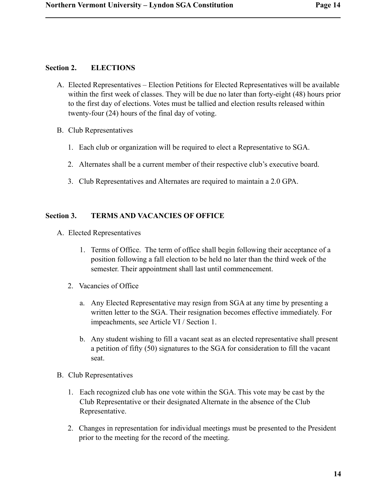#### **Section 2. ELECTIONS**

- A. Elected Representatives Election Petitions for Elected Representatives will be available within the first week of classes. They will be due no later than forty-eight (48) hours prior to the first day of elections. Votes must be tallied and election results released within twenty-four (24) hours of the final day of voting.
- B. Club Representatives
	- 1. Each club or organization will be required to elect a Representative to SGA.
	- 2. Alternates shall be a current member of their respective club's executive board.
	- 3. Club Representatives and Alternates are required to maintain a 2.0 GPA.

# **Section 3. TERMS AND VACANCIES OF OFFICE**

- A. Elected Representatives
	- 1. Terms of Office. The term of office shall begin following their acceptance of a position following a fall election to be held no later than the third week of the semester. Their appointment shall last until commencement.
	- 2. Vacancies of Office
		- a. Any Elected Representative may resign from SGA at any time by presenting a written letter to the SGA. Their resignation becomes effective immediately. For impeachments, see Article VI / Section 1.
		- b. Any student wishing to fill a vacant seat as an elected representative shall present a petition of fifty (50) signatures to the SGA for consideration to fill the vacant seat.
- B. Club Representatives
	- 1. Each recognized club has one vote within the SGA. This vote may be cast by the Club Representative or their designated Alternate in the absence of the Club Representative.
	- 2. Changes in representation for individual meetings must be presented to the President prior to the meeting for the record of the meeting.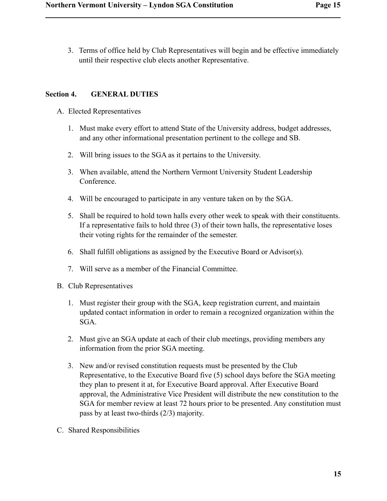3. Terms of office held by Club Representatives will begin and be effective immediately until their respective club elects another Representative.

# **Section 4. GENERAL DUTIES**

- A. Elected Representatives
	- 1. Must make every effort to attend State of the University address, budget addresses, and any other informational presentation pertinent to the college and SB.
	- 2. Will bring issues to the SGA as it pertains to the University.
	- 3. When available, attend the Northern Vermont University Student Leadership Conference.
	- 4. Will be encouraged to participate in any venture taken on by the SGA.
	- 5. Shall be required to hold town halls every other week to speak with their constituents. If a representative fails to hold three (3) of their town halls, the representative loses their voting rights for the remainder of the semester.
	- 6. Shall fulfill obligations as assigned by the Executive Board or Advisor(s).
	- 7. Will serve as a member of the Financial Committee.
- B. Club Representatives
	- 1. Must register their group with the SGA, keep registration current, and maintain updated contact information in order to remain a recognized organization within the SGA.
	- 2. Must give an SGA update at each of their club meetings, providing members any information from the prior SGA meeting.
	- 3. New and/or revised constitution requests must be presented by the Club Representative, to the Executive Board five (5) school days before the SGA meeting they plan to present it at, for Executive Board approval. After Executive Board approval, the Administrative Vice President will distribute the new constitution to the SGA for member review at least 72 hours prior to be presented. Any constitution must pass by at least two-thirds (2/3) majority.
- C. Shared Responsibilities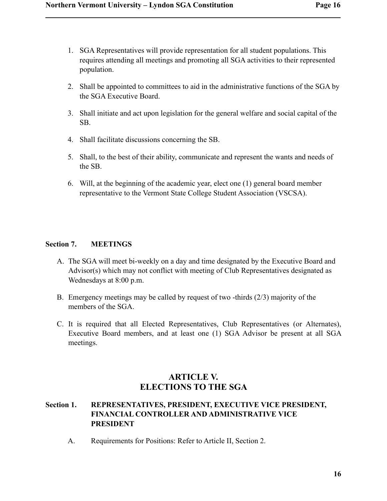- 1. SGA Representatives will provide representation for all student populations. This requires attending all meetings and promoting all SGA activities to their represented population.
- 2. Shall be appointed to committees to aid in the administrative functions of the SGA by the SGA Executive Board.
- 3. Shall initiate and act upon legislation for the general welfare and social capital of the SB.
- 4. Shall facilitate discussions concerning the SB.
- 5. Shall, to the best of their ability, communicate and represent the wants and needs of the SB.
- 6. Will, at the beginning of the academic year, elect one (1) general board member representative to the Vermont State College Student Association (VSCSA).

# **Section 7. MEETINGS**

- A. The SGA will meet bi-weekly on a day and time designated by the Executive Board and Advisor(s) which may not conflict with meeting of Club Representatives designated as Wednesdays at 8:00 p.m.
- B. Emergency meetings may be called by request of two -thirds (2/3) majority of the members of the SGA.
- C. It is required that all Elected Representatives, Club Representatives (or Alternates), Executive Board members, and at least one (1) SGA Advisor be present at all SGA meetings.

# **ARTICLE V. ELECTIONS TO THE SGA**

# **Section 1. REPRESENTATIVES, PRESIDENT, EXECUTIVE VICE PRESIDENT, FINANCIAL CONTROLLER AND ADMINISTRATIVE VICE PRESIDENT**

A. Requirements for Positions: Refer to Article II, Section 2.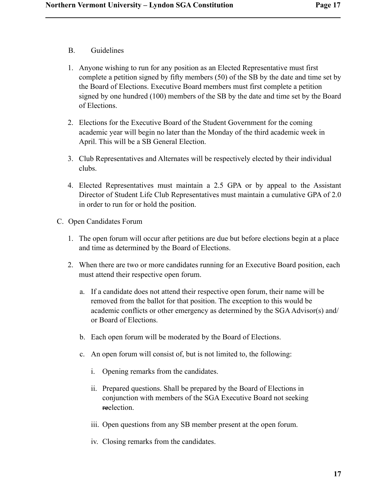B. Guidelines

- 1. Anyone wishing to run for any position as an Elected Representative must first complete a petition signed by fifty members (50) of the SB by the date and time set by the Board of Elections. Executive Board members must first complete a petition signed by one hundred (100) members of the SB by the date and time set by the Board of Elections.
- 2. Elections for the Executive Board of the Student Government for the coming academic year will begin no later than the Monday of the third academic week in April. This will be a SB General Election.
- 3. Club Representatives and Alternates will be respectively elected by their individual clubs.
- 4. Elected Representatives must maintain a 2.5 GPA or by appeal to the Assistant Director of Student Life Club Representatives must maintain a cumulative GPA of 2.0 in order to run for or hold the position.
- C. Open Candidates Forum
	- 1. The open forum will occur after petitions are due but before elections begin at a place and time as determined by the Board of Elections.
	- 2. When there are two or more candidates running for an Executive Board position, each must attend their respective open forum.
		- a. If a candidate does not attend their respective open forum, their name will be removed from the ballot for that position. The exception to this would be academic conflicts or other emergency as determined by the SGA Advisor(s) and/ or Board of Elections.
		- b. Each open forum will be moderated by the Board of Elections.
		- c. An open forum will consist of, but is not limited to, the following:
			- i. Opening remarks from the candidates.
			- ii. Prepared questions. Shall be prepared by the Board of Elections in conjunction with members of the SGA Executive Board not seeking reelection.
			- iii. Open questions from any SB member present at the open forum.
			- iv. Closing remarks from the candidates.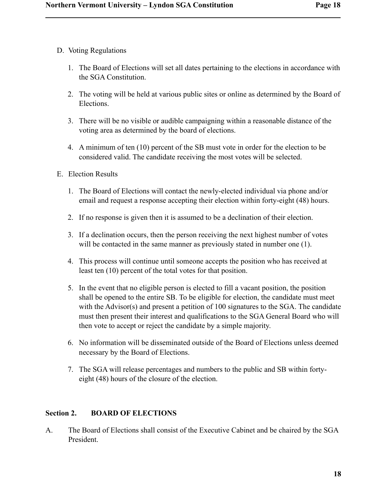D. Voting Regulations

- 1. The Board of Elections will set all dates pertaining to the elections in accordance with the SGA Constitution.
- 2. The voting will be held at various public sites or online as determined by the Board of Elections.
- 3. There will be no visible or audible campaigning within a reasonable distance of the voting area as determined by the board of elections.
- 4. A minimum of ten (10) percent of the SB must vote in order for the election to be considered valid. The candidate receiving the most votes will be selected.
- E. Election Results
	- 1. The Board of Elections will contact the newly-elected individual via phone and/or email and request a response accepting their election within forty-eight (48) hours.
	- 2. If no response is given then it is assumed to be a declination of their election.
	- 3. If a declination occurs, then the person receiving the next highest number of votes will be contacted in the same manner as previously stated in number one  $(1)$ .
	- 4. This process will continue until someone accepts the position who has received at least ten (10) percent of the total votes for that position.
	- 5. In the event that no eligible person is elected to fill a vacant position, the position shall be opened to the entire SB. To be eligible for election, the candidate must meet with the Advisor(s) and present a petition of 100 signatures to the SGA. The candidate must then present their interest and qualifications to the SGA General Board who will then vote to accept or reject the candidate by a simple majority.
	- 6. No information will be disseminated outside of the Board of Elections unless deemed necessary by the Board of Elections.
	- 7. The SGA will release percentages and numbers to the public and SB within fortyeight (48) hours of the closure of the election.

# **Section 2. BOARD OF ELECTIONS**

A. The Board of Elections shall consist of the Executive Cabinet and be chaired by the SGA President.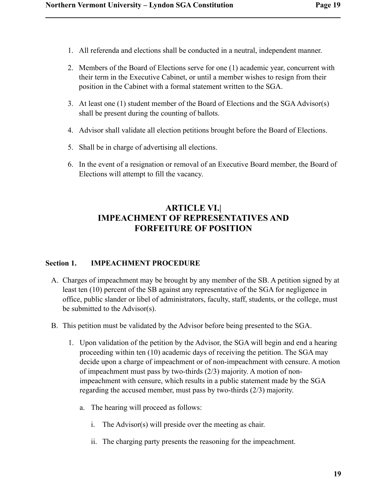- 1. All referenda and elections shall be conducted in a neutral, independent manner.
- 2. Members of the Board of Elections serve for one (1) academic year, concurrent with their term in the Executive Cabinet, or until a member wishes to resign from their position in the Cabinet with a formal statement written to the SGA.
- 3. At least one (1) student member of the Board of Elections and the SGA Advisor(s) shall be present during the counting of ballots.
- 4. Advisor shall validate all election petitions brought before the Board of Elections.
- 5. Shall be in charge of advertising all elections.
- 6. In the event of a resignation or removal of an Executive Board member, the Board of Elections will attempt to fill the vacancy.

# **ARTICLE VI.| IMPEACHMENT OF REPRESENTATIVES AND FORFEITURE OF POSITION**

# **Section 1. IMPEACHMENT PROCEDURE**

- A. Charges of impeachment may be brought by any member of the SB. A petition signed by at least ten (10) percent of the SB against any representative of the SGA for negligence in office, public slander or libel of administrators, faculty, staff, students, or the college, must be submitted to the Advisor(s).
- B. This petition must be validated by the Advisor before being presented to the SGA.
	- 1. Upon validation of the petition by the Advisor, the SGA will begin and end a hearing proceeding within ten (10) academic days of receiving the petition. The SGA may decide upon a charge of impeachment or of non-impeachment with censure. A motion of impeachment must pass by two-thirds (2/3) majority. A motion of nonimpeachment with censure, which results in a public statement made by the SGA regarding the accused member, must pass by two-thirds (2/3) majority.
		- a. The hearing will proceed as follows:
			- i. The Advisor(s) will preside over the meeting as chair.
			- ii. The charging party presents the reasoning for the impeachment.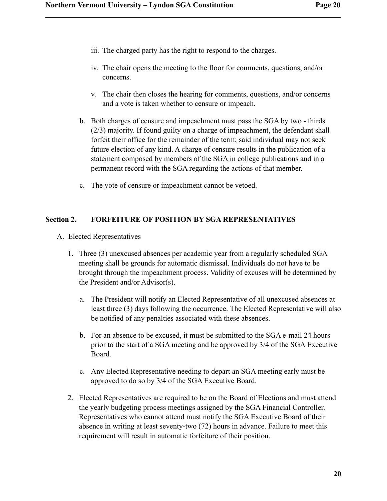- iii. The charged party has the right to respond to the charges.
- iv. The chair opens the meeting to the floor for comments, questions, and/or concerns.
- v. The chair then closes the hearing for comments, questions, and/or concerns and a vote is taken whether to censure or impeach.
- b. Both charges of censure and impeachment must pass the SGA by two thirds (2/3) majority. If found guilty on a charge of impeachment, the defendant shall forfeit their office for the remainder of the term; said individual may not seek future election of any kind. A charge of censure results in the publication of a statement composed by members of the SGA in college publications and in a permanent record with the SGA regarding the actions of that member.
- c. The vote of censure or impeachment cannot be vetoed.

# **Section 2. FORFEITURE OF POSITION BY SGA REPRESENTATIVES**

- A. Elected Representatives
	- 1. Three (3) unexcused absences per academic year from a regularly scheduled SGA meeting shall be grounds for automatic dismissal. Individuals do not have to be brought through the impeachment process. Validity of excuses will be determined by the President and/or Advisor(s).
		- a. The President will notify an Elected Representative of all unexcused absences at least three (3) days following the occurrence. The Elected Representative will also be notified of any penalties associated with these absences.
		- b. For an absence to be excused, it must be submitted to the SGA e-mail 24 hours prior to the start of a SGA meeting and be approved by 3/4 of the SGA Executive Board.
		- c. Any Elected Representative needing to depart an SGA meeting early must be approved to do so by 3/4 of the SGA Executive Board.
	- 2. Elected Representatives are required to be on the Board of Elections and must attend the yearly budgeting process meetings assigned by the SGA Financial Controller. Representatives who cannot attend must notify the SGA Executive Board of their absence in writing at least seventy-two (72) hours in advance. Failure to meet this requirement will result in automatic forfeiture of their position.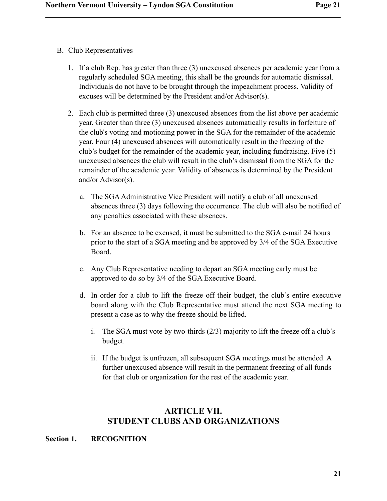B. Club Representatives

- 1. If a club Rep. has greater than three (3) unexcused absences per academic year from a regularly scheduled SGA meeting, this shall be the grounds for automatic dismissal. Individuals do not have to be brought through the impeachment process. Validity of excuses will be determined by the President and/or Advisor(s).
- 2. Each club is permitted three (3) unexcused absences from the list above per academic year. Greater than three (3) unexcused absences automatically results in forfeiture of the club's voting and motioning power in the SGA for the remainder of the academic year. Four (4) unexcused absences will automatically result in the freezing of the club's budget for the remainder of the academic year, including fundraising. Five (5) unexcused absences the club will result in the club's dismissal from the SGA for the remainder of the academic year. Validity of absences is determined by the President and/or Advisor(s).
	- a. The SGA Administrative Vice President will notify a club of all unexcused absences three (3) days following the occurrence. The club will also be notified of any penalties associated with these absences.
	- b. For an absence to be excused, it must be submitted to the SGA e-mail 24 hours prior to the start of a SGA meeting and be approved by 3/4 of the SGA Executive Board.
	- c. Any Club Representative needing to depart an SGA meeting early must be approved to do so by 3/4 of the SGA Executive Board.
	- d. In order for a club to lift the freeze off their budget, the club's entire executive board along with the Club Representative must attend the next SGA meeting to present a case as to why the freeze should be lifted.
		- i. The SGA must vote by two-thirds (2/3) majority to lift the freeze off a club's budget.
		- ii. If the budget is unfrozen, all subsequent SGA meetings must be attended. A further unexcused absence will result in the permanent freezing of all funds for that club or organization for the rest of the academic year.

# **ARTICLE VII. STUDENT CLUBS AND ORGANIZATIONS**

# **Section 1. RECOGNITION**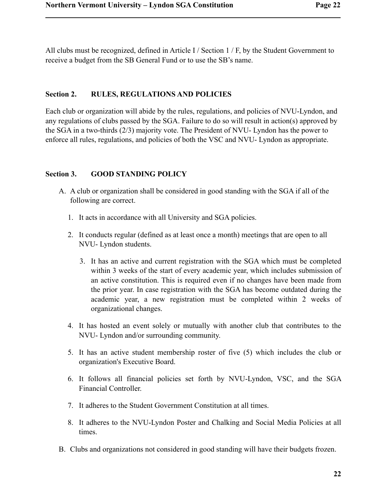All clubs must be recognized, defined in Article I / Section 1 / F, by the Student Government to receive a budget from the SB General Fund or to use the SB's name.

# **Section 2. RULES, REGULATIONS AND POLICIES**

Each club or organization will abide by the rules, regulations, and policies of NVU-Lyndon, and any regulations of clubs passed by the SGA. Failure to do so will result in action(s) approved by the SGA in a two-thirds (2/3) majority vote. The President of NVU- Lyndon has the power to enforce all rules, regulations, and policies of both the VSC and NVU- Lyndon as appropriate.

# **Section 3. GOOD STANDING POLICY**

- A. A club or organization shall be considered in good standing with the SGA if all of the following are correct.
	- 1. It acts in accordance with all University and SGA policies.
	- 2. It conducts regular (defined as at least once a month) meetings that are open to all NVU- Lyndon students.
		- 3. It has an active and current registration with the SGA which must be completed within 3 weeks of the start of every academic year, which includes submission of an active constitution. This is required even if no changes have been made from the prior year. In case registration with the SGA has become outdated during the academic year, a new registration must be completed within 2 weeks of organizational changes.
	- 4. It has hosted an event solely or mutually with another club that contributes to the NVU- Lyndon and/or surrounding community.
	- 5. It has an active student membership roster of five (5) which includes the club or organization's Executive Board.
	- 6. It follows all financial policies set forth by NVU-Lyndon, VSC, and the SGA Financial Controller.
	- 7. It adheres to the Student Government Constitution at all times.
	- 8. It adheres to the NVU-Lyndon Poster and Chalking and Social Media Policies at all times.
- B. Clubs and organizations not considered in good standing will have their budgets frozen.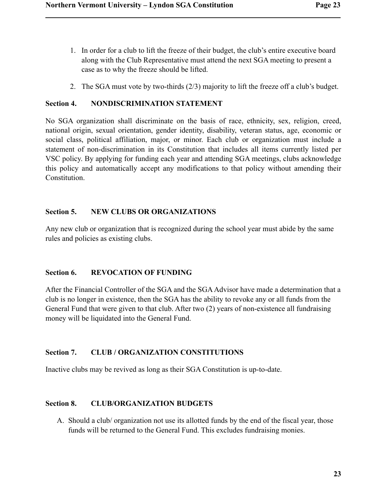- 1. In order for a club to lift the freeze of their budget, the club's entire executive board along with the Club Representative must attend the next SGA meeting to present a case as to why the freeze should be lifted.
- 2. The SGA must vote by two-thirds (2/3) majority to lift the freeze off a club's budget.

# **Section 4. NONDISCRIMINATION STATEMENT**

No SGA organization shall discriminate on the basis of race, ethnicity, sex, religion, creed, national origin, sexual orientation, gender identity, disability, veteran status, age, economic or social class, political affiliation, major, or minor. Each club or organization must include a statement of non-discrimination in its Constitution that includes all items currently listed per VSC policy. By applying for funding each year and attending SGA meetings, clubs acknowledge this policy and automatically accept any modifications to that policy without amending their Constitution.

# **Section 5. NEW CLUBS OR ORGANIZATIONS**

Any new club or organization that is recognized during the school year must abide by the same rules and policies as existing clubs.

# **Section 6. REVOCATION OF FUNDING**

After the Financial Controller of the SGA and the SGA Advisor have made a determination that a club is no longer in existence, then the SGA has the ability to revoke any or all funds from the General Fund that were given to that club. After two (2) years of non-existence all fundraising money will be liquidated into the General Fund.

# **Section 7. CLUB / ORGANIZATION CONSTITUTIONS**

Inactive clubs may be revived as long as their SGA Constitution is up-to-date.

# **Section 8. CLUB/ORGANIZATION BUDGETS**

A. Should a club/ organization not use its allotted funds by the end of the fiscal year, those funds will be returned to the General Fund. This excludes fundraising monies.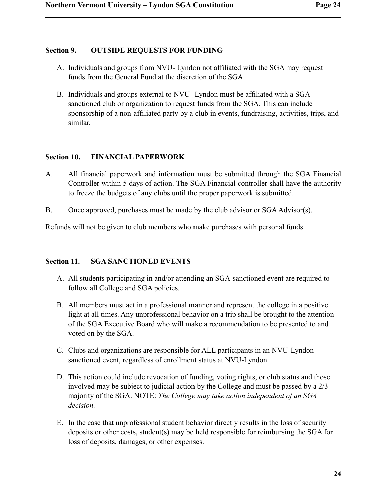# **Section 9. OUTSIDE REQUESTS FOR FUNDING**

- A. Individuals and groups from NVU- Lyndon not affiliated with the SGA may request funds from the General Fund at the discretion of the SGA.
- B. Individuals and groups external to NVU- Lyndon must be affiliated with a SGAsanctioned club or organization to request funds from the SGA. This can include sponsorship of a non-affiliated party by a club in events, fundraising, activities, trips, and similar.

# **Section 10. FINANCIAL PAPERWORK**

- A. All financial paperwork and information must be submitted through the SGA Financial Controller within 5 days of action. The SGA Financial controller shall have the authority to freeze the budgets of any clubs until the proper paperwork is submitted.
- B. Once approved, purchases must be made by the club advisor or SGA Advisor(s).

Refunds will not be given to club members who make purchases with personal funds.

# **Section 11. SGA SANCTIONED EVENTS**

- A. All students participating in and/or attending an SGA-sanctioned event are required to follow all College and SGA policies.
- B. All members must act in a professional manner and represent the college in a positive light at all times. Any unprofessional behavior on a trip shall be brought to the attention of the SGA Executive Board who will make a recommendation to be presented to and voted on by the SGA.
- C. Clubs and organizations are responsible for ALL participants in an NVU-Lyndon sanctioned event, regardless of enrollment status at NVU-Lyndon.
- D. This action could include revocation of funding, voting rights, or club status and those involved may be subject to judicial action by the College and must be passed by a 2/3 majority of the SGA. NOTE: *The College may take action independent of an SGA decision.*
- E. In the case that unprofessional student behavior directly results in the loss of security deposits or other costs, student(s) may be held responsible for reimbursing the SGA for loss of deposits, damages, or other expenses.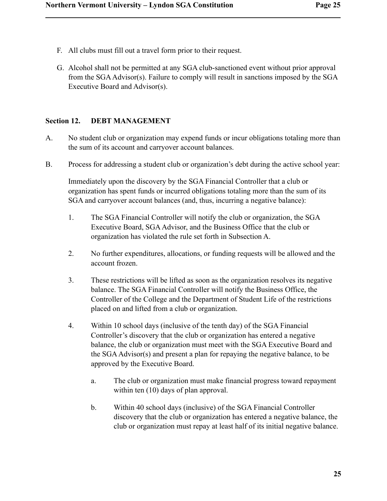- F. All clubs must fill out a travel form prior to their request.
- G. Alcohol shall not be permitted at any SGA club-sanctioned event without prior approval from the SGA Advisor(s). Failure to comply will result in sanctions imposed by the SGA Executive Board and Advisor(s).

# **Section 12. DEBT MANAGEMENT**

- A. No student club or organization may expend funds or incur obligations totaling more than the sum of its account and carryover account balances.
- B. Process for addressing a student club or organization's debt during the active school year:

Immediately upon the discovery by the SGA Financial Controller that a club or organization has spent funds or incurred obligations totaling more than the sum of its SGA and carryover account balances (and, thus, incurring a negative balance):

- 1. The SGA Financial Controller will notify the club or organization, the SGA Executive Board, SGA Advisor, and the Business Office that the club or organization has violated the rule set forth in Subsection A.
- 2. No further expenditures, allocations, or funding requests will be allowed and the account frozen.
- 3. These restrictions will be lifted as soon as the organization resolves its negative balance. The SGA Financial Controller will notify the Business Office, the Controller of the College and the Department of Student Life of the restrictions placed on and lifted from a club or organization.
- 4. Within 10 school days (inclusive of the tenth day) of the SGA Financial Controller's discovery that the club or organization has entered a negative balance, the club or organization must meet with the SGA Executive Board and the SGA Advisor(s) and present a plan for repaying the negative balance, to be approved by the Executive Board.
	- a. The club or organization must make financial progress toward repayment within ten (10) days of plan approval.
	- b. Within 40 school days (inclusive) of the SGA Financial Controller discovery that the club or organization has entered a negative balance, the club or organization must repay at least half of its initial negative balance.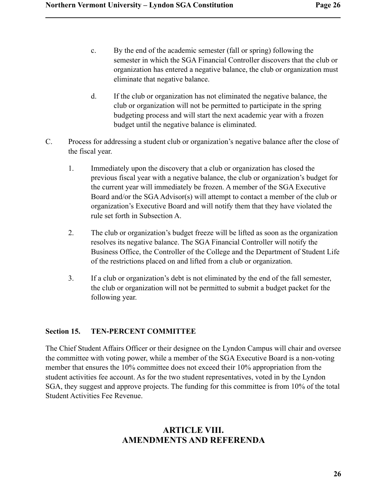- c. By the end of the academic semester (fall or spring) following the semester in which the SGA Financial Controller discovers that the club or organization has entered a negative balance, the club or organization must eliminate that negative balance.
- d. If the club or organization has not eliminated the negative balance, the club or organization will not be permitted to participate in the spring budgeting process and will start the next academic year with a frozen budget until the negative balance is eliminated.
- C. Process for addressing a student club or organization's negative balance after the close of the fiscal year.
	- 1. Immediately upon the discovery that a club or organization has closed the previous fiscal year with a negative balance, the club or organization's budget for the current year will immediately be frozen. A member of the SGA Executive Board and/or the SGA Advisor(s) will attempt to contact a member of the club or organization's Executive Board and will notify them that they have violated the rule set forth in Subsection A.
	- 2. The club or organization's budget freeze will be lifted as soon as the organization resolves its negative balance. The SGA Financial Controller will notify the Business Office, the Controller of the College and the Department of Student Life of the restrictions placed on and lifted from a club or organization.
	- 3. If a club or organization's debt is not eliminated by the end of the fall semester, the club or organization will not be permitted to submit a budget packet for the following year.

# **Section 15. TEN-PERCENT COMMITTEE**

The Chief Student Affairs Officer or their designee on the Lyndon Campus will chair and oversee the committee with voting power, while a member of the SGA Executive Board is a non-voting member that ensures the 10% committee does not exceed their 10% appropriation from the student activities fee account. As for the two student representatives, voted in by the Lyndon SGA, they suggest and approve projects. The funding for this committee is from 10% of the total Student Activities Fee Revenue.

# **ARTICLE VIII. AMENDMENTS AND REFERENDA**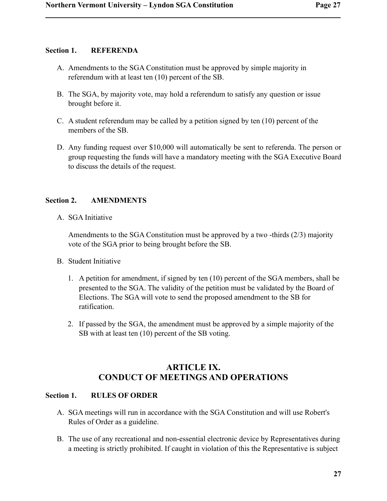# **Section 1. REFERENDA**

- A. Amendments to the SGA Constitution must be approved by simple majority in referendum with at least ten (10) percent of the SB.
- B. The SGA, by majority vote, may hold a referendum to satisfy any question or issue brought before it.
- C. A student referendum may be called by a petition signed by ten (10) percent of the members of the SB.
- D. Any funding request over \$10,000 will automatically be sent to referenda. The person or group requesting the funds will have a mandatory meeting with the SGA Executive Board to discuss the details of the request.

#### **Section 2. AMENDMENTS**

A. SGA Initiative

Amendments to the SGA Constitution must be approved by a two -thirds (2/3) majority vote of the SGA prior to being brought before the SB.

- B. Student Initiative
	- 1. A petition for amendment, if signed by ten (10) percent of the SGA members, shall be presented to the SGA. The validity of the petition must be validated by the Board of Elections. The SGA will vote to send the proposed amendment to the SB for ratification.
	- 2. If passed by the SGA, the amendment must be approved by a simple majority of the SB with at least ten (10) percent of the SB voting.

# **ARTICLE IX. CONDUCT OF MEETINGS AND OPERATIONS**

#### **Section 1. RULES OF ORDER**

- A. SGA meetings will run in accordance with the SGA Constitution and will use Robert's Rules of Order as a guideline.
- B. The use of any recreational and non-essential electronic device by Representatives during a meeting is strictly prohibited. If caught in violation of this the Representative is subject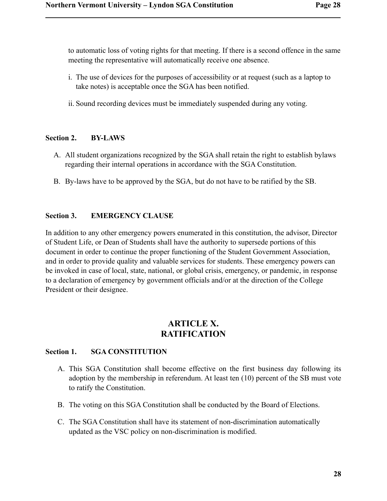to automatic loss of voting rights for that meeting. If there is a second offence in the same meeting the representative will automatically receive one absence.

- i. The use of devices for the purposes of accessibility or at request (such as a laptop to take notes) is acceptable once the SGA has been notified.
- ii. Sound recording devices must be immediately suspended during any voting.

#### **Section 2. BY-LAWS**

- A. All student organizations recognized by the SGA shall retain the right to establish bylaws regarding their internal operations in accordance with the SGA Constitution.
- B. By-laws have to be approved by the SGA, but do not have to be ratified by the SB.

#### **Section 3. EMERGENCY CLAUSE**

In addition to any other emergency powers enumerated in this constitution, the advisor, Director of Student Life, or Dean of Students shall have the authority to supersede portions of this document in order to continue the proper functioning of the Student Government Association, and in order to provide quality and valuable services for students. These emergency powers can be invoked in case of local, state, national, or global crisis, emergency, or pandemic, in response to a declaration of emergency by government officials and/or at the direction of the College President or their designee.

# **ARTICLE X. RATIFICATION**

#### **Section 1. SGA CONSTITUTION**

- A. This SGA Constitution shall become effective on the first business day following its adoption by the membership in referendum. At least ten (10) percent of the SB must vote to ratify the Constitution.
- B. The voting on this SGA Constitution shall be conducted by the Board of Elections.
- C. The SGA Constitution shall have its statement of non-discrimination automatically updated as the VSC policy on non-discrimination is modified.